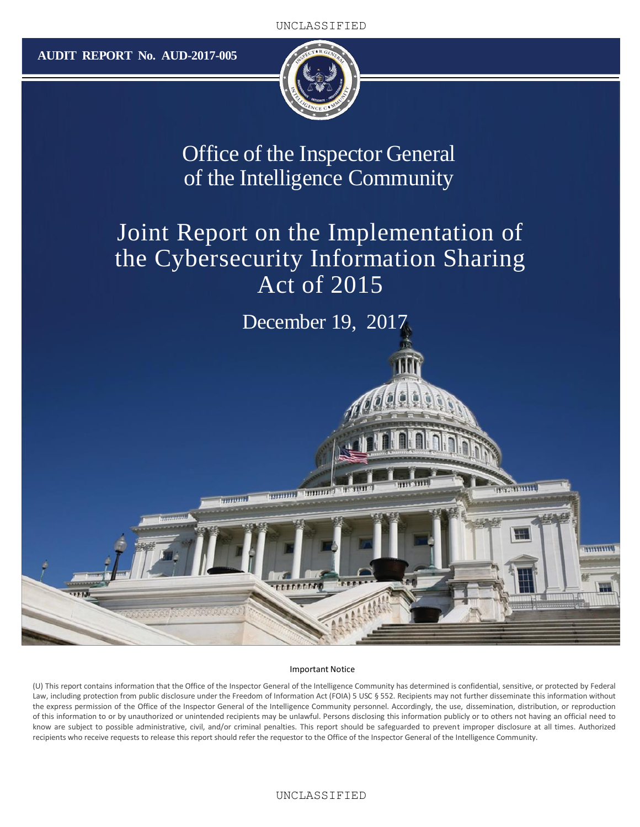**AUDIT REPORT No. AUD-2017-005**



Office of the Inspector General of the Intelligence Community

# Joint Report on the Implementation of the Cybersecurity Information Sharing Act of 2015

December 19, 2017

**EXTENDIO** 

mmu

#### Important Notice

promoted in the contract

*<u>International</u>* 

(U) This report contains information that the Office of the Inspector General of the Intelligence Community has determined is confidential, sensitive, or protected by Federal Law, including protection from public disclosure under the Freedom of Information Act (FOIA) 5 USC § 552. Recipients may not further disseminate this information without the express permission of the Office of the Inspector General of the Intelligence Community personnel. Accordingly, the use, dissemination, distribution, or reproduction of this information to or by unauthorized or unintended recipients may be unlawful. Persons disclosing this information publicly or to others not having an official need to know are subject to possible administrative, civil, and/or criminal penalties. This report should be safeguarded to prevent improper disclosure at all times. Authorized recipients who receive requests to release this report should refer the requestor to the Office of the Inspector General of the Intelligence Community.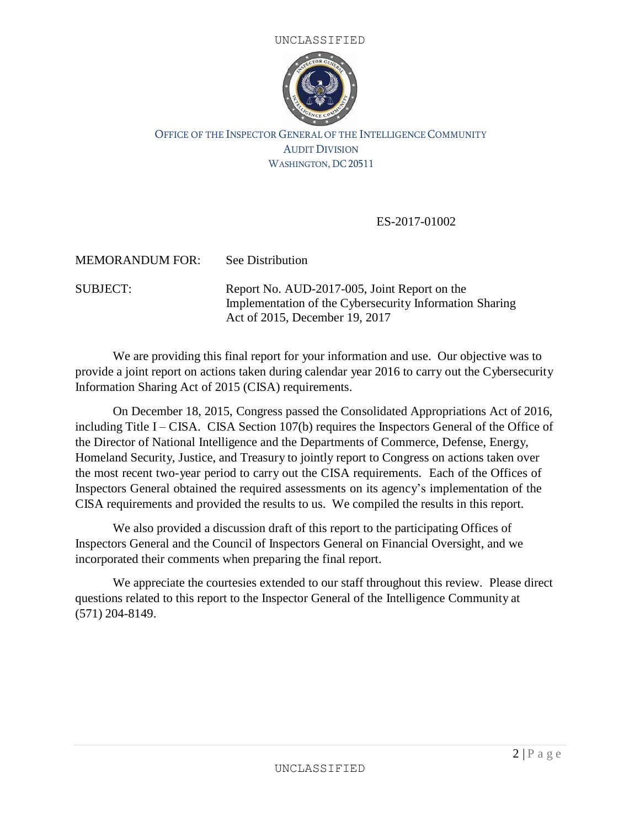



#### OFFICE OF THE INSPECTOR GENERAL OF THE INTELLIGENCE COMMUNITY AUDIT DIVISION WASHINGTON, DC 20511

#### ES-2017-01002

MEMORANDUM FOR: See Distribution

SUBJECT: Report No. AUD-2017-005, Joint Report on the Implementation of the Cybersecurity Information Sharing Act of 2015, December 19, 2017

We are providing this final report for your information and use. Our objective was to provide a joint report on actions taken during calendar year 2016 to carry out the Cybersecurity Information Sharing Act of 2015 (CISA) requirements.

On December 18, 2015, Congress passed the Consolidated Appropriations Act of 2016, including Title I – CISA. CISA Section 107(b) requires the Inspectors General of the Office of the Director of National Intelligence and the Departments of Commerce, Defense, Energy, Homeland Security, Justice, and Treasury to jointly report to Congress on actions taken over the most recent two-year period to carry out the CISA requirements. Each of the Offices of Inspectors General obtained the required assessments on its agency's implementation of the CISA requirements and provided the results to us. We compiled the results in this report.

We also provided a discussion draft of this report to the participating Offices of Inspectors General and the Council of Inspectors General on Financial Oversight, and we incorporated their comments when preparing the final report.

We appreciate the courtesies extended to our staff throughout this review. Please direct questions related to this report to the Inspector General of the Intelligence Community at (571) 204-8149.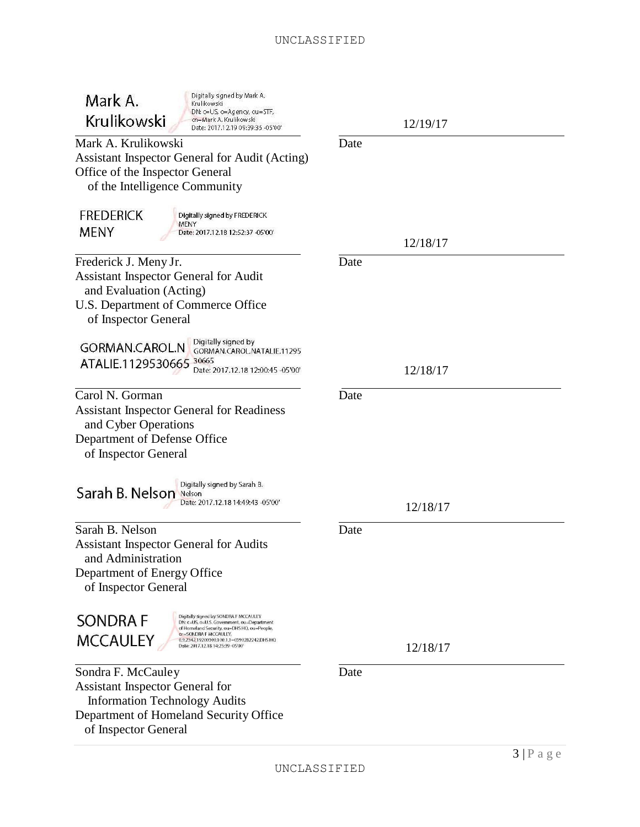#### UNCLASSIFIED

| Digitally signed by Mark A.<br>Mark A.<br>Krulikowski<br>DN: c=US, o=Agency, ou=STF,<br>Krulikowski<br>cn=Mark A. Krulikowski                        | 12/19/17 |
|------------------------------------------------------------------------------------------------------------------------------------------------------|----------|
| Date: 2017.12.19 09:39:35 -05'00'<br>Mark A. Krulikowski                                                                                             | Date     |
| Assistant Inspector General for Audit (Acting)                                                                                                       |          |
| Office of the Inspector General<br>of the Intelligence Community                                                                                     |          |
| <b>FREDERICK</b><br>Digitally signed by FREDERICK<br>MENY                                                                                            |          |
| <b>MENY</b><br>Date: 2017.12.18 12:52:37 -05'00'                                                                                                     | 12/18/17 |
| Frederick J. Meny Jr.                                                                                                                                | Date     |
| <b>Assistant Inspector General for Audit</b>                                                                                                         |          |
| and Evaluation (Acting)                                                                                                                              |          |
| U.S. Department of Commerce Office                                                                                                                   |          |
| of Inspector General                                                                                                                                 |          |
| Digitally signed by<br><b>GORMAN.CAROL.N</b>                                                                                                         |          |
| GORMAN.CAROL.NATALIE.11295<br>ATALIE.1129530665 30665                                                                                                |          |
| Date: 2017.12.18 12:00:45 -05'00'                                                                                                                    | 12/18/17 |
| Carol N. Gorman                                                                                                                                      | Date     |
| <b>Assistant Inspector General for Readiness</b><br>and Cyber Operations                                                                             |          |
| Department of Defense Office                                                                                                                         |          |
| of Inspector General                                                                                                                                 |          |
|                                                                                                                                                      |          |
| Digitally signed by Sarah B.<br>Sarah B. Nelson<br>Nelson<br>Date: 2017.12.18 14:49:43 -05'00'                                                       | 12/18/17 |
| Sarah B. Nelson                                                                                                                                      | Date     |
| <b>Assistant Inspector General for Audits</b><br>and Administration                                                                                  |          |
| Department of Energy Office<br>of Inspector General                                                                                                  |          |
| Digitally signed by SONDRA F MCCAULEY<br><b>SONDRAF</b><br>DN: c=US, o=U.S. Government, ou=Department<br>of Homeland Security, ou=DHS HQ, ou=People, |          |
| gn=SONDRA F MCCAULEY.<br><b>MCCAULEY</b><br>0.9.2342.19200300.100.1.1=0390282242.DHS HQ<br>Date: 2017.12.18 14:25:39 -05'00"                         | 12/18/17 |
| Sondra F. McCauley                                                                                                                                   | Date     |
| <b>Assistant Inspector General for</b>                                                                                                               |          |
| <b>Information Technology Audits</b>                                                                                                                 |          |
| Department of Homeland Security Office<br>of Inspector General                                                                                       |          |
|                                                                                                                                                      |          |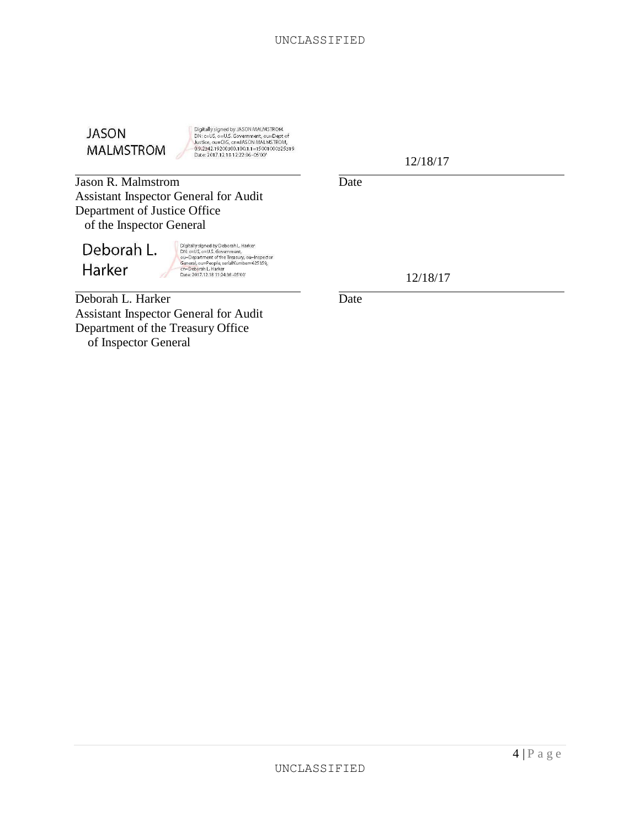

Digitally signed by JASON MALMSTROM<br>DN: c=US, o=U.S. Government, ou=Dept of<br>Justice, ou=OG, cn=JASON MALMSTROM,<br>0.9.2342.19200300.100.1.1 =15001000325319<br>Date: 2017.12.18 12:22:06-05'00'

**Jason R. Malmstrom** Date Assistant Inspector General for Audit Department of Justice Office of the Inspector General

Deborah L. Harker

Digitally signed by Deborah L. Harker<br>DN: c=US, o=US. Government,<br>o⊔—Dopartment of the Treasury, ou=Inspector<br>General, ou=People, serialNumber=625359,<br>cr=Deborah L. Harker<br>Date: 2017.12.18 11:24:38 -05'00'

Deborah L. Harker Date Assistant Inspector General for Audit Department of the Treasury Office of Inspector General

12/18/17

12/18/17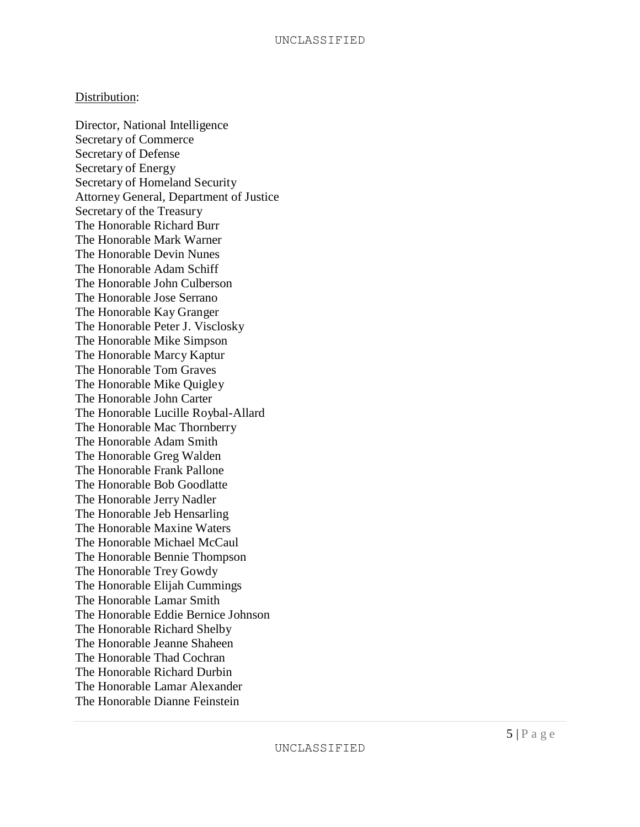#### Distribution:

Director, National Intelligence Secretary of Commerce Secretary of Defense Secretary of Energy Secretary of Homeland Security Attorney General, Department of Justice Secretary of the Treasury The Honorable Richard Burr The Honorable Mark Warner The Honorable Devin Nunes The Honorable Adam Schiff The Honorable John Culberson The Honorable Jose Serrano The Honorable Kay Granger The Honorable Peter J. Visclosky The Honorable Mike Simpson The Honorable Marcy Kaptur The Honorable Tom Graves The Honorable Mike Quigley The Honorable John Carter The Honorable Lucille Roybal-Allard The Honorable Mac Thornberry The Honorable Adam Smith The Honorable Greg Walden The Honorable Frank Pallone The Honorable Bob Goodlatte The Honorable Jerry Nadler The Honorable Jeb Hensarling The Honorable Maxine Waters The Honorable Michael McCaul The Honorable Bennie Thompson The Honorable Trey Gowdy The Honorable Elijah Cummings The Honorable Lamar Smith The Honorable Eddie Bernice Johnson The Honorable Richard Shelby The Honorable Jeanne Shaheen The Honorable Thad Cochran The Honorable Richard Durbin The Honorable Lamar Alexander The Honorable Dianne Feinstein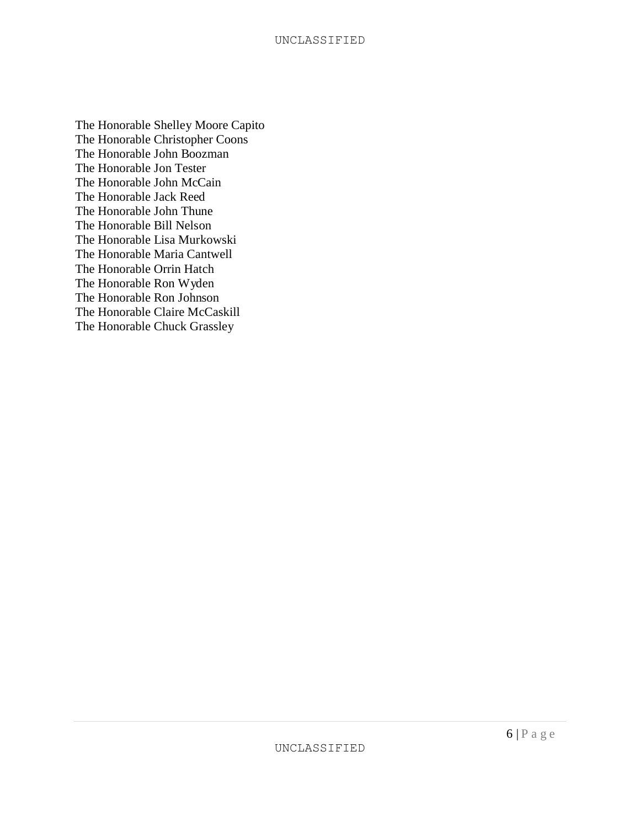The Honorable Shelley Moore Capito The Honorable Christopher Coons The Honorable John Boozman The Honorable Jon Tester The Honorable John McCain The Honorable Jack Reed The Honorable John Thune The Honorable Bill Nelson The Honorable Lisa Murkowski The Honorable Maria Cantwell The Honorable Orrin Hatch The Honorable Ron Wyden The Honorable Ron Johnson The Honorable Claire McCaskill The Honorable Chuck Grassley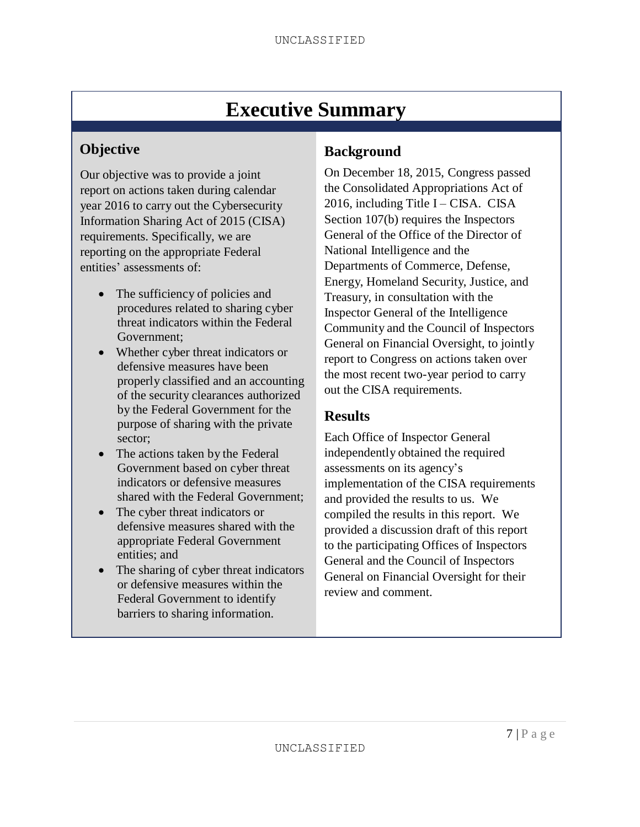# **Executive Summary**

# **Objective**

Our objective was to provide a joint report on actions taken during calendar year 2016 to carry out the Cybersecurity Information Sharing Act of 2015 (CISA) requirements. Specifically, we are reporting on the appropriate Federal entities' assessments of:

- The sufficiency of policies and procedures related to sharing cyber threat indicators within the Federal Government;
- Whether cyber threat indicators or defensive measures have been properly classified and an accounting of the security clearances authorized by the Federal Government for the purpose of sharing with the private sector;
- The actions taken by the Federal Government based on cyber threat indicators or defensive measures shared with the Federal Government;
- The cyber threat indicators or defensive measures shared with the appropriate Federal Government entities; and
- The sharing of cyber threat indicators or defensive measures within the Federal Government to identify barriers to sharing information.

# **Background**

On December 18, 2015, Congress passed the Consolidated Appropriations Act of 2016, including Title  $I - CISA$ . CISA Section 107(b) requires the Inspectors General of the Office of the Director of National Intelligence and the Departments of Commerce, Defense, Energy, Homeland Security, Justice, and Treasury, in consultation with the Inspector General of the Intelligence Community and the Council of Inspectors General on Financial Oversight, to jointly report to Congress on actions taken over the most recent two-year period to carry out the CISA requirements.

## **Results**

Each Office of Inspector General independently obtained the required assessments on its agency's implementation of the CISA requirements and provided the results to us. We compiled the results in this report. We provided a discussion draft of this report to the participating Offices of Inspectors General and the Council of Inspectors General on Financial Oversight for their review and comment.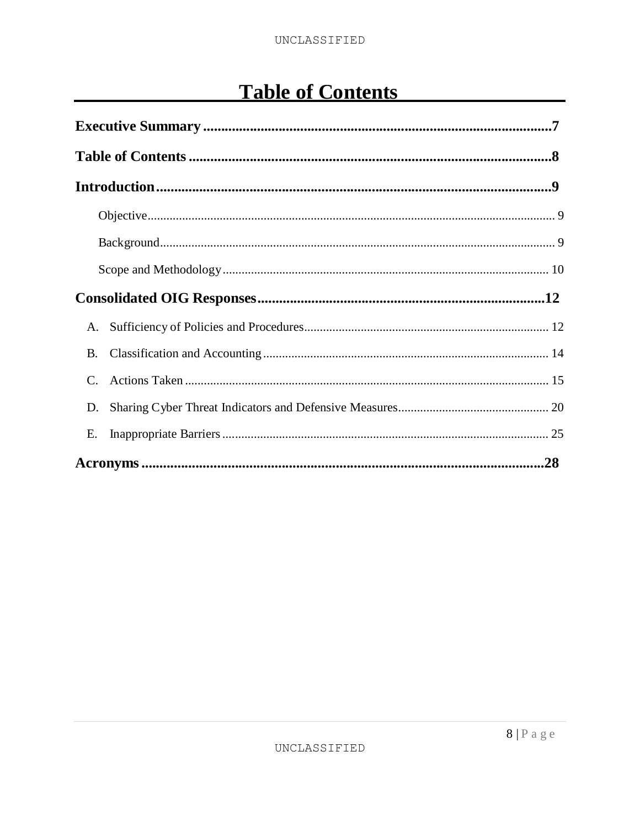# **Table of Contents**

| A.        |  |  |
|-----------|--|--|
| <b>B.</b> |  |  |
|           |  |  |
| D.        |  |  |
| Е.        |  |  |
|           |  |  |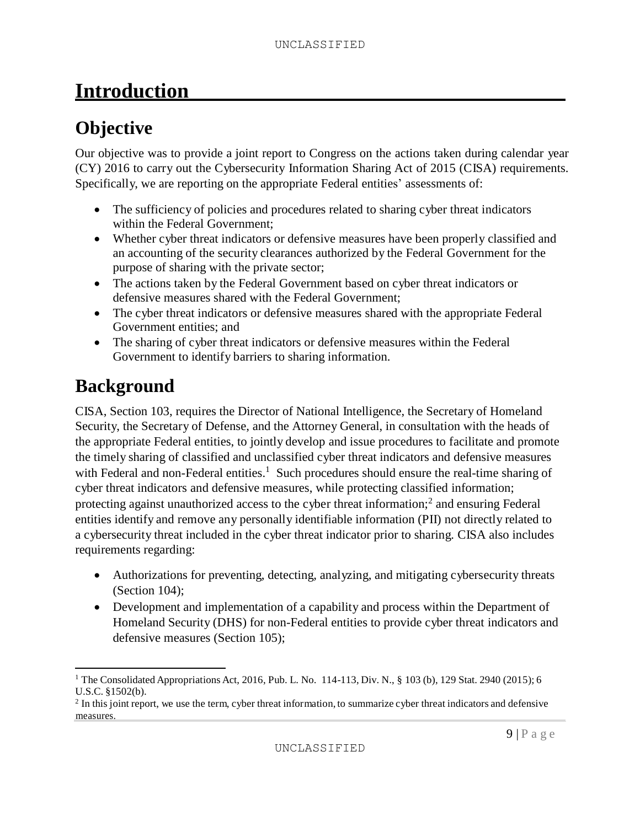# **Introduction**

# **Objective**

Our objective was to provide a joint report to Congress on the actions taken during calendar year (CY) 2016 to carry out the Cybersecurity Information Sharing Act of 2015 (CISA) requirements. Specifically, we are reporting on the appropriate Federal entities' assessments of:

- The sufficiency of policies and procedures related to sharing cyber threat indicators within the Federal Government;
- Whether cyber threat indicators or defensive measures have been properly classified and an accounting of the security clearances authorized by the Federal Government for the purpose of sharing with the private sector;
- The actions taken by the Federal Government based on cyber threat indicators or defensive measures shared with the Federal Government;
- The cyber threat indicators or defensive measures shared with the appropriate Federal Government entities; and
- The sharing of cyber threat indicators or defensive measures within the Federal Government to identify barriers to sharing information.

# **Background**

CISA, Section 103, requires the Director of National Intelligence, the Secretary of Homeland Security, the Secretary of Defense, and the Attorney General, in consultation with the heads of the appropriate Federal entities, to jointly develop and issue procedures to facilitate and promote the timely sharing of classified and unclassified cyber threat indicators and defensive measures with Federal and non-Federal entities.<sup>1</sup> Such procedures should ensure the real-time sharing of cyber threat indicators and defensive measures, while protecting classified information; protecting against unauthorized access to the cyber threat information;<sup>2</sup> and ensuring Federal entities identify and remove any personally identifiable information (PII) not directly related to a cybersecurity threat included in the cyber threat indicator prior to sharing. CISA also includes requirements regarding:

- Authorizations for preventing, detecting, analyzing, and mitigating cybersecurity threats (Section 104);
- Development and implementation of a capability and process within the Department of Homeland Security (DHS) for non-Federal entities to provide cyber threat indicators and defensive measures (Section 105);

<sup>&</sup>lt;sup>1</sup> The Consolidated Appropriations Act, 2016, Pub. L. No. 114-113, Div. N., § 103 (b), 129 Stat. 2940 (2015); 6 U.S.C. §1502(b).

 $2$  In this joint report, we use the term, cyber threat information, to summarize cyber threat indicators and defensive measures.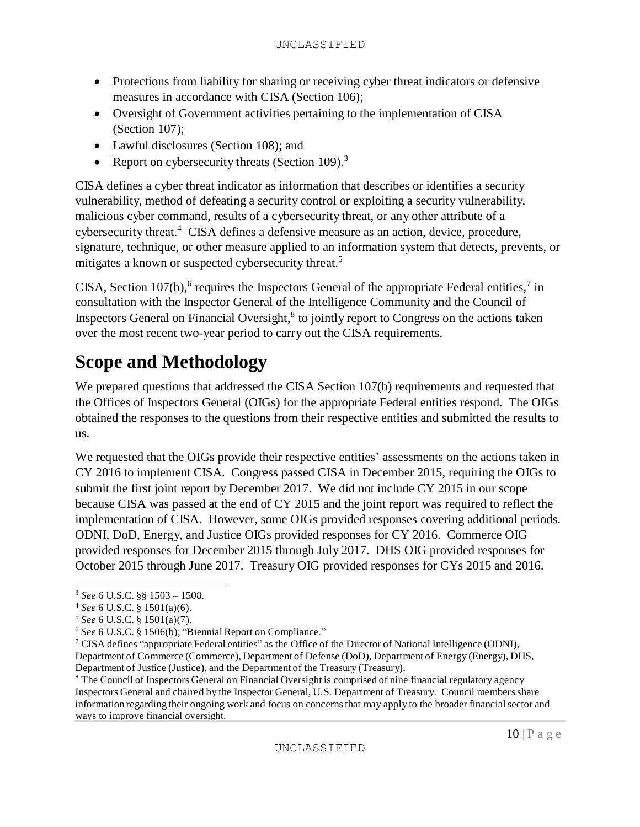- Protections from liability for sharing or receiving cyber threat indicators or defensive measures in accordance with CISA (Section 106);
- Oversight of Government activities pertaining to the implementation of CISA (Section 107);
- Lawful disclosures (Section 108); and
- Report on cybersecurity threats (Section 109).<sup>3</sup>

CISA defines a cyber threat indicator as information that describes or identifies a security vulnerability, method of defeating a security control or exploiting a security vulnerability, malicious cyber command, results of a cybersecurity threat, or any other attribute of a cybersecurity threat.<sup>4</sup> CISA defines a defensive measure as an action, device, procedure, signature, technique, or other measure applied to an information system that detects, prevents, or mitigates a known or suspected cybersecurity threat.<sup>5</sup>

CISA, Section 107(b),<sup>6</sup> requires the Inspectors General of the appropriate Federal entities,<sup>7</sup> in consultation with the Inspector General of the Intelligence Community and the Council of Inspectors General on Financial Oversight,<sup>8</sup> to jointly report to Congress on the actions taken over the most recent two-year period to carry out the CISA requirements.

# **Scope and Methodology**

We prepared questions that addressed the CISA Section 107(b) requirements and requested that the Offices of Inspectors General (OIGs) for the appropriate Federal entities respond. The OIGs obtained the responses to the questions from their respective entities and submitted the results to us.

We requested that the OIGs provide their respective entities' assessments on the actions taken in CY 2016 to implement CISA. Congress passed CISA in December 2015, requiring the OIGs to submit the first joint report by December 2017. We did not include CY 2015 in our scope because CISA was passed at the end of CY 2015 and the joint report was required to reflect the implementation of CISA. However, some OIGs provided responses covering additional periods. ODNI, DoD, Energy, and Justice OIGs provided responses for CY 2016. Commerce OIG provided responses for December 2015 through July 2017. DHS OIG provided responses for October 2015 through June 2017. Treasury OIG provided responses for CYs 2015 and 2016.

<sup>3</sup> *See* 6 U.S.C. §§ 1503 – 1508.

<sup>4</sup> *See* 6 U.S.C. § 1501(a)(6).

<sup>5</sup> *See* 6 U.S.C. § 1501(a)(7).

<sup>6</sup> *See* 6 U.S.C. § 1506(b); "Biennial Report on Compliance."

<sup>&</sup>lt;sup>7</sup> CISA defines "appropriate Federal entities" as the Office of the Director of National Intelligence (ODNI), Department of Commerce (Commerce), Department of Defense (DoD), Department of Energy (Energy), DHS, Department of Justice (Justice), and the Department of the Treasury (Treasury).

<sup>8</sup> The Council of Inspectors General on Financial Oversight is comprised of nine financial regulatory agency Inspectors General and chaired by the Inspector General, U.S. Department of Treasury. Council membersshare information regarding their ongoing work and focus on concernsthat may apply to the broader financialsector and ways to improve financial oversight.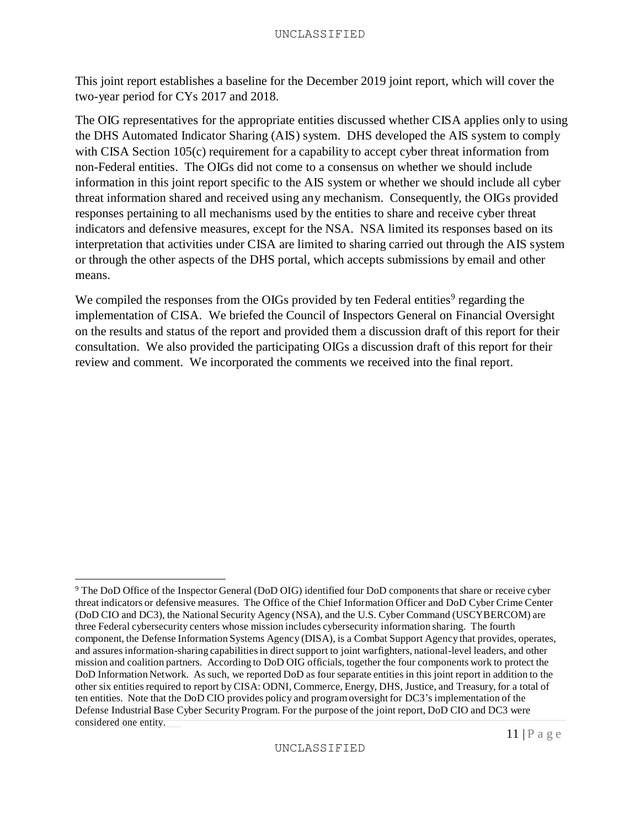This joint report establishes a baseline for the December 2019 joint report, which will cover the two-year period for CYs 2017 and 2018.

The OIG representatives for the appropriate entities discussed whether CISA applies only to using the DHS Automated Indicator Sharing (AIS) system. DHS developed the AIS system to comply with CISA Section 105(c) requirement for a capability to accept cyber threat information from non-Federal entities. The OIGs did not come to a consensus on whether we should include information in this joint report specific to the AIS system or whether we should include all cyber threat information shared and received using any mechanism. Consequently, the OIGs provided responses pertaining to all mechanisms used by the entities to share and receive cyber threat indicators and defensive measures, except for the NSA. NSA limited its responses based on its interpretation that activities under CISA are limited to sharing carried out through the AIS system or through the other aspects of the DHS portal, which accepts submissions by email and other means.

We compiled the responses from the OIGs provided by ten Federal entities<sup>9</sup> regarding the implementation of CISA. We briefed the Council of Inspectors General on Financial Oversight on the results and status of the report and provided them a discussion draft of this report for their consultation. We also provided the participating OIGs a discussion draft of this report for their review and comment. We incorporated the comments we received into the final report.

<sup>9</sup> The DoD Office of the Inspector General (DoD OIG) identified four DoD components that share or receive cyber threat indicators or defensive measures. The Office of the Chief Information Officer and DoD Cyber Crime Center (DoD CIO and DC3), the National Security Agency (NSA), and the U.S. Cyber Command (USCYBERCOM) are three Federal cybersecurity centers whose mission includes cybersecurity information sharing. The fourth component, the Defense Information Systems Agency (DISA), is a Combat Support Agency that provides, operates, and assuresinformation-sharing capabilitiesin direct support to joint warfighters, national-level leaders, and other mission and coalition partners. According to DoD OIG officials, together the four components work to protect the DoD Information Network. As such, we reported DoD as four separate entities in this joint report in addition to the other six entitiesrequired to report by CISA: ODNI, Commerce, Energy, DHS, Justice, and Treasury, for a total of ten entities. Note that the DoD CIO provides policy and programoversight for DC3's implementation of the Defense Industrial Base Cyber Security Program. For the purpose of the joint report, DoD CIO and DC3 were considered one entity.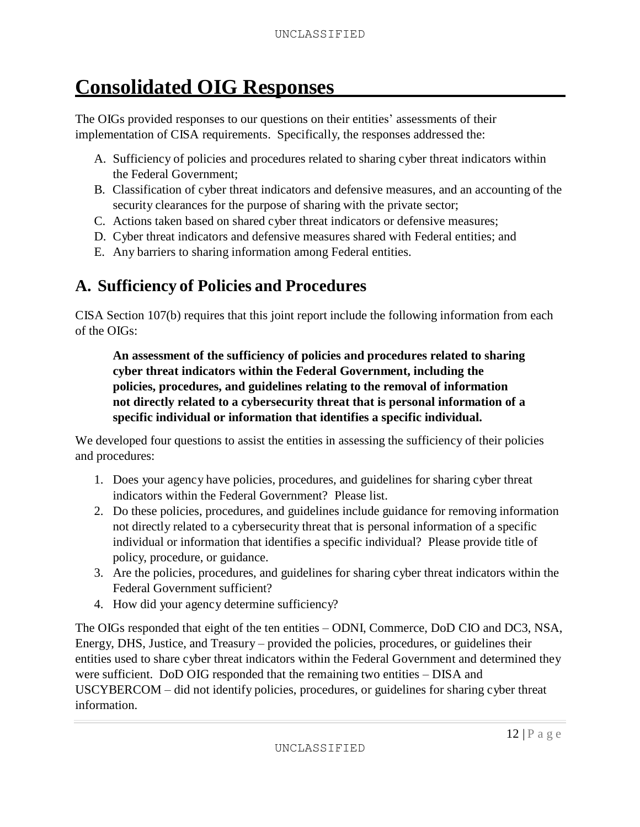# **Consolidated OIG Responses**

The OIGs provided responses to our questions on their entities' assessments of their implementation of CISA requirements. Specifically, the responses addressed the:

- A. Sufficiency of policies and procedures related to sharing cyber threat indicators within the Federal Government;
- B. Classification of cyber threat indicators and defensive measures, and an accounting of the security clearances for the purpose of sharing with the private sector;
- C. Actions taken based on shared cyber threat indicators or defensive measures;
- D. Cyber threat indicators and defensive measures shared with Federal entities; and
- E. Any barriers to sharing information among Federal entities.

# **A. Sufficiency of Policies and Procedures**

CISA Section 107(b) requires that this joint report include the following information from each of the OIGs:

**An assessment of the sufficiency of policies and procedures related to sharing cyber threat indicators within the Federal Government, including the policies, procedures, and guidelines relating to the removal of information not directly related to a cybersecurity threat that is personal information of a specific individual or information that identifies a specific individual.**

We developed four questions to assist the entities in assessing the sufficiency of their policies and procedures:

- 1. Does your agency have policies, procedures, and guidelines for sharing cyber threat indicators within the Federal Government? Please list.
- 2. Do these policies, procedures, and guidelines include guidance for removing information not directly related to a cybersecurity threat that is personal information of a specific individual or information that identifies a specific individual? Please provide title of policy, procedure, or guidance.
- 3. Are the policies, procedures, and guidelines for sharing cyber threat indicators within the Federal Government sufficient?
- 4. How did your agency determine sufficiency?

The OIGs responded that eight of the ten entities – ODNI, Commerce, DoD CIO and DC3, NSA, Energy, DHS, Justice, and Treasury – provided the policies, procedures, or guidelines their entities used to share cyber threat indicators within the Federal Government and determined they were sufficient. DoD OIG responded that the remaining two entities – DISA and USCYBERCOM – did not identify policies, procedures, or guidelines for sharing cyber threat information.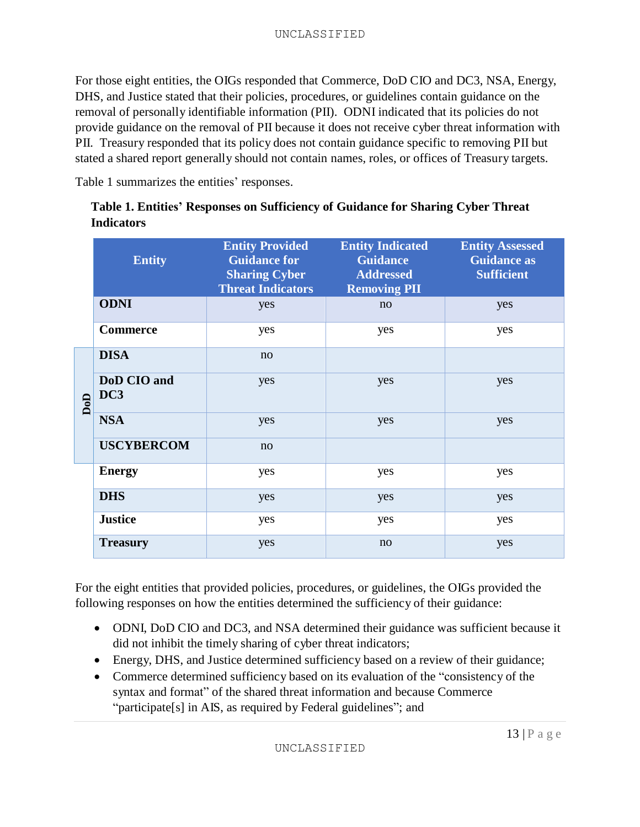For those eight entities, the OIGs responded that Commerce, DoD CIO and DC3, NSA, Energy, DHS, and Justice stated that their policies, procedures, or guidelines contain guidance on the removal of personally identifiable information (PII). ODNI indicated that its policies do not provide guidance on the removal of PII because it does not receive cyber threat information with PII. Treasury responded that its policy does not contain guidance specific to removing PII but stated a shared report generally should not contain names, roles, or offices of Treasury targets.

Table 1 summarizes the entities' responses.

|     | <b>Entity</b>      | <b>Entity Provided</b><br><b>Guidance for</b><br><b>Sharing Cyber</b><br><b>Threat Indicators</b> | <b>Entity Indicated</b><br><b>Guidance</b><br><b>Addressed</b><br><b>Removing PII</b> | <b>Entity Assessed</b><br><b>Guidance as</b><br><b>Sufficient</b> |
|-----|--------------------|---------------------------------------------------------------------------------------------------|---------------------------------------------------------------------------------------|-------------------------------------------------------------------|
|     | <b>ODNI</b>        | yes                                                                                               | no                                                                                    | yes                                                               |
|     | <b>Commerce</b>    | yes                                                                                               | yes                                                                                   | yes                                                               |
|     | <b>DISA</b>        | no                                                                                                |                                                                                       |                                                                   |
| DoD | DoD CIO and<br>DC3 | yes                                                                                               | yes                                                                                   | yes                                                               |
|     | <b>NSA</b>         | yes                                                                                               | yes                                                                                   | yes                                                               |
|     | <b>USCYBERCOM</b>  | no                                                                                                |                                                                                       |                                                                   |
|     | <b>Energy</b>      | yes                                                                                               | yes                                                                                   | yes                                                               |
|     | <b>DHS</b>         | yes                                                                                               | yes                                                                                   | yes                                                               |
|     | <b>Justice</b>     | yes                                                                                               | yes                                                                                   | yes                                                               |
|     | <b>Treasury</b>    | yes                                                                                               | no                                                                                    | yes                                                               |

|                   | Table 1. Entities' Responses on Sufficiency of Guidance for Sharing Cyber Threat |  |
|-------------------|----------------------------------------------------------------------------------|--|
| <b>Indicators</b> |                                                                                  |  |

For the eight entities that provided policies, procedures, or guidelines, the OIGs provided the following responses on how the entities determined the sufficiency of their guidance:

- ODNI, DoD CIO and DC3, and NSA determined their guidance was sufficient because it did not inhibit the timely sharing of cyber threat indicators;
- Energy, DHS, and Justice determined sufficiency based on a review of their guidance;
- Commerce determined sufficiency based on its evaluation of the "consistency of the syntax and format" of the shared threat information and because Commerce "participate[s] in AIS, as required by Federal guidelines"; and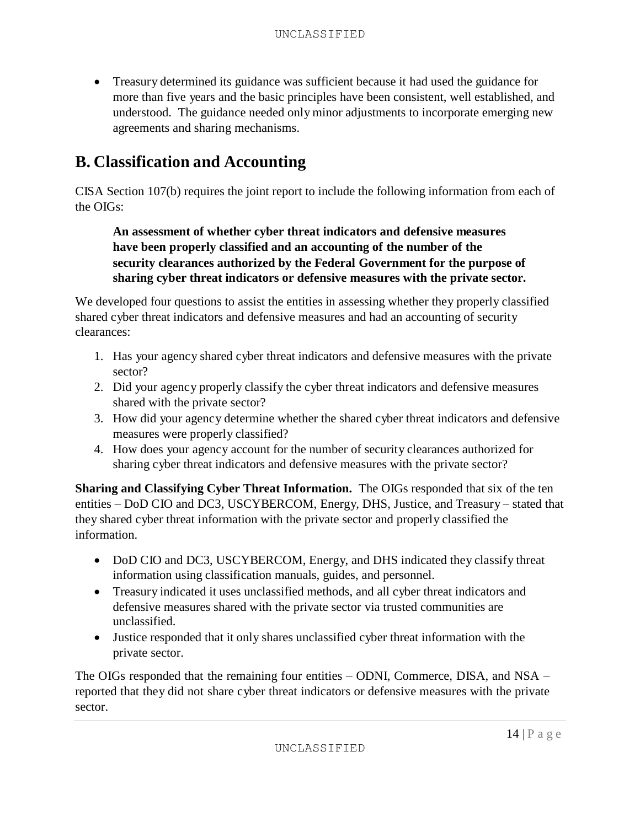Treasury determined its guidance was sufficient because it had used the guidance for more than five years and the basic principles have been consistent, well established, and understood. The guidance needed only minor adjustments to incorporate emerging new agreements and sharing mechanisms.

# **B. Classification and Accounting**

CISA Section 107(b) requires the joint report to include the following information from each of the OIGs:

## **An assessment of whether cyber threat indicators and defensive measures have been properly classified and an accounting of the number of the security clearances authorized by the Federal Government for the purpose of sharing cyber threat indicators or defensive measures with the private sector.**

We developed four questions to assist the entities in assessing whether they properly classified shared cyber threat indicators and defensive measures and had an accounting of security clearances:

- 1. Has your agency shared cyber threat indicators and defensive measures with the private sector?
- 2. Did your agency properly classify the cyber threat indicators and defensive measures shared with the private sector?
- 3. How did your agency determine whether the shared cyber threat indicators and defensive measures were properly classified?
- 4. How does your agency account for the number of security clearances authorized for sharing cyber threat indicators and defensive measures with the private sector?

**Sharing and Classifying Cyber Threat Information.** The OIGs responded that six of the ten entities – DoD CIO and DC3, USCYBERCOM, Energy, DHS, Justice, and Treasury – stated that they shared cyber threat information with the private sector and properly classified the information.

- DoD CIO and DC3, USCYBERCOM, Energy, and DHS indicated they classify threat information using classification manuals, guides, and personnel.
- Treasury indicated it uses unclassified methods, and all cyber threat indicators and defensive measures shared with the private sector via trusted communities are unclassified.
- Justice responded that it only shares unclassified cyber threat information with the private sector.

The OIGs responded that the remaining four entities – ODNI, Commerce, DISA, and NSA – reported that they did not share cyber threat indicators or defensive measures with the private sector.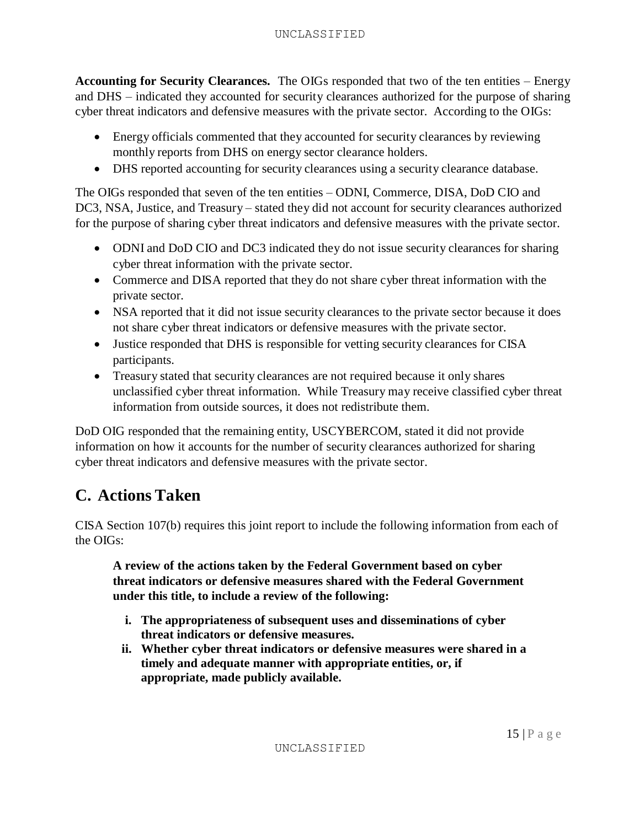#### UNCLASSIFIED

**Accounting for Security Clearances.** The OIGs responded that two of the ten entities – Energy and DHS – indicated they accounted for security clearances authorized for the purpose of sharing cyber threat indicators and defensive measures with the private sector. According to the OIGs:

- Energy officials commented that they accounted for security clearances by reviewing monthly reports from DHS on energy sector clearance holders.
- DHS reported accounting for security clearances using a security clearance database.

The OIGs responded that seven of the ten entities – ODNI, Commerce, DISA, DoD CIO and DC3, NSA, Justice, and Treasury – stated they did not account for security clearances authorized for the purpose of sharing cyber threat indicators and defensive measures with the private sector.

- ODNI and DoD CIO and DC3 indicated they do not issue security clearances for sharing cyber threat information with the private sector.
- Commerce and DISA reported that they do not share cyber threat information with the private sector.
- NSA reported that it did not issue security clearances to the private sector because it does not share cyber threat indicators or defensive measures with the private sector.
- Justice responded that DHS is responsible for vetting security clearances for CISA participants.
- Treasury stated that security clearances are not required because it only shares unclassified cyber threat information. While Treasury may receive classified cyber threat information from outside sources, it does not redistribute them.

DoD OIG responded that the remaining entity, USCYBERCOM, stated it did not provide information on how it accounts for the number of security clearances authorized for sharing cyber threat indicators and defensive measures with the private sector.

# **C. Actions Taken**

CISA Section 107(b) requires this joint report to include the following information from each of the OIGs:

**A review of the actions taken by the Federal Government based on cyber threat indicators or defensive measures shared with the Federal Government under this title, to include a review of the following:**

- **i. The appropriateness of subsequent uses and disseminations of cyber threat indicators or defensive measures.**
- **ii. Whether cyber threat indicators or defensive measures were shared in a timely and adequate manner with appropriate entities, or, if appropriate, made publicly available.**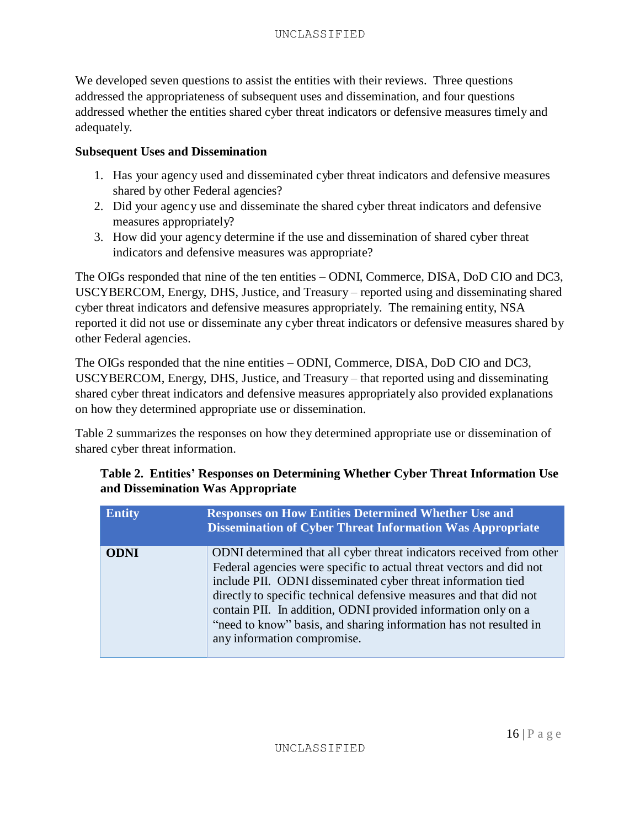We developed seven questions to assist the entities with their reviews. Three questions addressed the appropriateness of subsequent uses and dissemination, and four questions addressed whether the entities shared cyber threat indicators or defensive measures timely and adequately.

#### **Subsequent Uses and Dissemination**

- 1. Has your agency used and disseminated cyber threat indicators and defensive measures shared by other Federal agencies?
- 2. Did your agency use and disseminate the shared cyber threat indicators and defensive measures appropriately?
- 3. How did your agency determine if the use and dissemination of shared cyber threat indicators and defensive measures was appropriate?

The OIGs responded that nine of the ten entities – ODNI, Commerce, DISA, DoD CIO and DC3, USCYBERCOM, Energy, DHS, Justice, and Treasury – reported using and disseminating shared cyber threat indicators and defensive measures appropriately. The remaining entity, NSA reported it did not use or disseminate any cyber threat indicators or defensive measures shared by other Federal agencies.

The OIGs responded that the nine entities – ODNI, Commerce, DISA, DoD CIO and DC3, USCYBERCOM, Energy, DHS, Justice, and Treasury – that reported using and disseminating shared cyber threat indicators and defensive measures appropriately also provided explanations on how they determined appropriate use or dissemination.

Table 2 summarizes the responses on how they determined appropriate use or dissemination of shared cyber threat information.

### **Table 2. Entities' Responses on Determining Whether Cyber Threat Information Use and Dissemination Was Appropriate**

| <b>Entity</b> | <b>Responses on How Entities Determined Whether Use and</b><br><b>Dissemination of Cyber Threat Information Was Appropriate</b>                                                                                                                                                                                                                                                                                                                        |
|---------------|--------------------------------------------------------------------------------------------------------------------------------------------------------------------------------------------------------------------------------------------------------------------------------------------------------------------------------------------------------------------------------------------------------------------------------------------------------|
| <b>ODNI</b>   | ODNI determined that all cyber threat indicators received from other<br>Federal agencies were specific to actual threat vectors and did not<br>include PII. ODNI disseminated cyber threat information tied<br>directly to specific technical defensive measures and that did not<br>contain PII. In addition, ODNI provided information only on a<br>"need to know" basis, and sharing information has not resulted in<br>any information compromise. |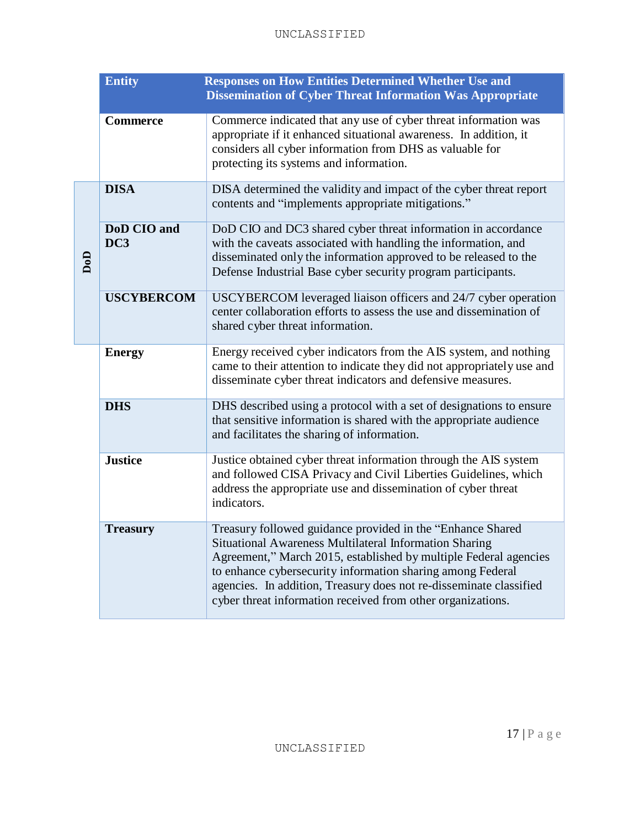#### UNCLASSIFIED

|     | <b>Entity</b>      | <b>Responses on How Entities Determined Whether Use and</b><br><b>Dissemination of Cyber Threat Information Was Appropriate</b>                                                                                                                                                                                                                                                             |
|-----|--------------------|---------------------------------------------------------------------------------------------------------------------------------------------------------------------------------------------------------------------------------------------------------------------------------------------------------------------------------------------------------------------------------------------|
|     | <b>Commerce</b>    | Commerce indicated that any use of cyber threat information was<br>appropriate if it enhanced situational awareness. In addition, it<br>considers all cyber information from DHS as valuable for<br>protecting its systems and information.                                                                                                                                                 |
|     | <b>DISA</b>        | DISA determined the validity and impact of the cyber threat report<br>contents and "implements appropriate mitigations."                                                                                                                                                                                                                                                                    |
| DoD | DoD CIO and<br>DC3 | DoD CIO and DC3 shared cyber threat information in accordance<br>with the caveats associated with handling the information, and<br>disseminated only the information approved to be released to the<br>Defense Industrial Base cyber security program participants.                                                                                                                         |
|     | <b>USCYBERCOM</b>  | USCYBERCOM leveraged liaison officers and 24/7 cyber operation<br>center collaboration efforts to assess the use and dissemination of<br>shared cyber threat information.                                                                                                                                                                                                                   |
|     | <b>Energy</b>      | Energy received cyber indicators from the AIS system, and nothing<br>came to their attention to indicate they did not appropriately use and<br>disseminate cyber threat indicators and defensive measures.                                                                                                                                                                                  |
|     | <b>DHS</b>         | DHS described using a protocol with a set of designations to ensure<br>that sensitive information is shared with the appropriate audience<br>and facilitates the sharing of information.                                                                                                                                                                                                    |
|     | <b>Justice</b>     | Justice obtained cyber threat information through the AIS system<br>and followed CISA Privacy and Civil Liberties Guidelines, which<br>address the appropriate use and dissemination of cyber threat<br>indicators.                                                                                                                                                                         |
|     | <b>Treasury</b>    | Treasury followed guidance provided in the "Enhance Shared<br>Situational Awareness Multilateral Information Sharing<br>Agreement," March 2015, established by multiple Federal agencies<br>to enhance cybersecurity information sharing among Federal<br>agencies. In addition, Treasury does not re-disseminate classified<br>cyber threat information received from other organizations. |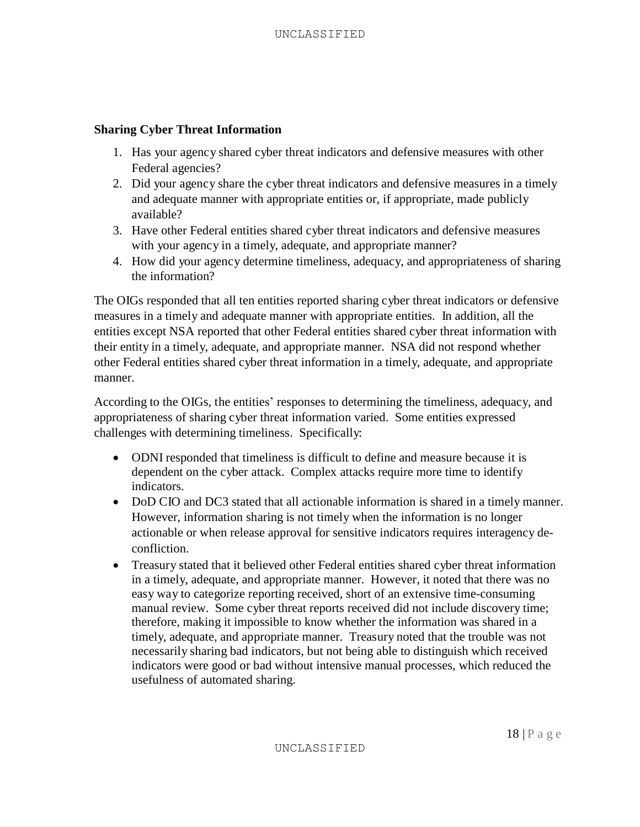#### **Sharing Cyber Threat Information**

- 1. Has your agency shared cyber threat indicators and defensive measures with other Federal agencies?
- 2. Did your agency share the cyber threat indicators and defensive measures in a timely and adequate manner with appropriate entities or, if appropriate, made publicly available?
- 3. Have other Federal entities shared cyber threat indicators and defensive measures with your agency in a timely, adequate, and appropriate manner?
- 4. How did your agency determine timeliness, adequacy, and appropriateness of sharing the information?

The OIGs responded that all ten entities reported sharing cyber threat indicators or defensive measures in a timely and adequate manner with appropriate entities. In addition, all the entities except NSA reported that other Federal entities shared cyber threat information with their entity in a timely, adequate, and appropriate manner. NSA did not respond whether other Federal entities shared cyber threat information in a timely, adequate, and appropriate manner.

According to the OIGs, the entities' responses to determining the timeliness, adequacy, and appropriateness of sharing cyber threat information varied. Some entities expressed challenges with determining timeliness. Specifically:

- ODNI responded that timeliness is difficult to define and measure because it is dependent on the cyber attack. Complex attacks require more time to identify indicators.
- DoD CIO and DC3 stated that all actionable information is shared in a timely manner. However, information sharing is not timely when the information is no longer actionable or when release approval for sensitive indicators requires interagency deconfliction.
- Treasury stated that it believed other Federal entities shared cyber threat information in a timely, adequate, and appropriate manner. However, it noted that there was no easy way to categorize reporting received, short of an extensive time-consuming manual review. Some cyber threat reports received did not include discovery time; therefore, making it impossible to know whether the information was shared in a timely, adequate, and appropriate manner. Treasury noted that the trouble was not necessarily sharing bad indicators, but not being able to distinguish which received indicators were good or bad without intensive manual processes, which reduced the usefulness of automated sharing.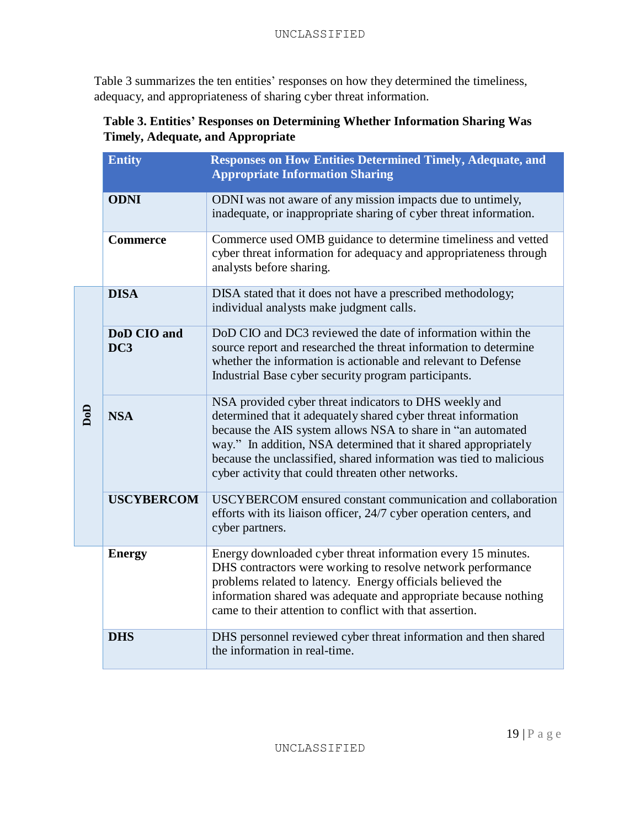Table 3 summarizes the ten entities' responses on how they determined the timeliness, adequacy, and appropriateness of sharing cyber threat information.

## **Table 3. Entities' Responses on Determining Whether Information Sharing Was Timely, Adequate, and Appropriate**

|     | <b>Entity</b>                  | <b>Responses on How Entities Determined Timely, Adequate, and</b><br><b>Appropriate Information Sharing</b>                                                                                                                                                                                                                                                                          |
|-----|--------------------------------|--------------------------------------------------------------------------------------------------------------------------------------------------------------------------------------------------------------------------------------------------------------------------------------------------------------------------------------------------------------------------------------|
|     | <b>ODNI</b>                    | ODNI was not aware of any mission impacts due to untimely,<br>inadequate, or inappropriate sharing of cyber threat information.                                                                                                                                                                                                                                                      |
|     | <b>Commerce</b>                | Commerce used OMB guidance to determine timeliness and vetted<br>cyber threat information for adequacy and appropriateness through<br>analysts before sharing.                                                                                                                                                                                                                       |
|     | <b>DISA</b>                    | DISA stated that it does not have a prescribed methodology;<br>individual analysts make judgment calls.                                                                                                                                                                                                                                                                              |
| DoD | DoD CIO and<br>DC <sub>3</sub> | DoD CIO and DC3 reviewed the date of information within the<br>source report and researched the threat information to determine<br>whether the information is actionable and relevant to Defense<br>Industrial Base cyber security program participants.                                                                                                                             |
|     | <b>NSA</b>                     | NSA provided cyber threat indicators to DHS weekly and<br>determined that it adequately shared cyber threat information<br>because the AIS system allows NSA to share in "an automated<br>way." In addition, NSA determined that it shared appropriately<br>because the unclassified, shared information was tied to malicious<br>cyber activity that could threaten other networks. |
|     | <b>USCYBERCOM</b>              | USCYBERCOM ensured constant communication and collaboration<br>efforts with its liaison officer, 24/7 cyber operation centers, and<br>cyber partners.                                                                                                                                                                                                                                |
|     | <b>Energy</b>                  | Energy downloaded cyber threat information every 15 minutes.<br>DHS contractors were working to resolve network performance<br>problems related to latency. Energy officials believed the<br>information shared was adequate and appropriate because nothing<br>came to their attention to conflict with that assertion.                                                             |
|     | <b>DHS</b>                     | DHS personnel reviewed cyber threat information and then shared<br>the information in real-time.                                                                                                                                                                                                                                                                                     |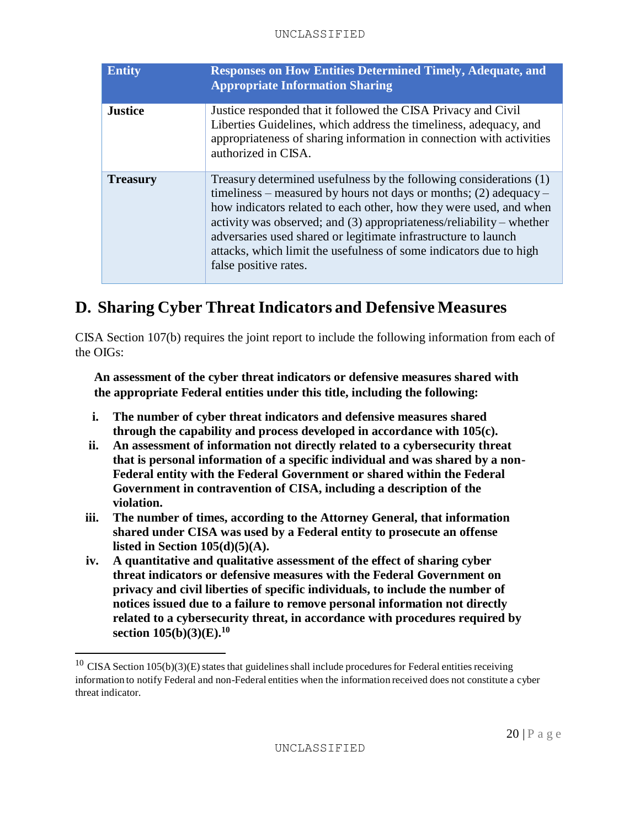| <b>Entity</b>   | <b>Responses on How Entities Determined Timely, Adequate, and</b><br><b>Appropriate Information Sharing</b>                                                                                                                                                                                                                                                                                                                                            |
|-----------------|--------------------------------------------------------------------------------------------------------------------------------------------------------------------------------------------------------------------------------------------------------------------------------------------------------------------------------------------------------------------------------------------------------------------------------------------------------|
| <b>Justice</b>  | Justice responded that it followed the CISA Privacy and Civil<br>Liberties Guidelines, which address the timeliness, adequacy, and<br>appropriateness of sharing information in connection with activities<br>authorized in CISA.                                                                                                                                                                                                                      |
| <b>Treasury</b> | Treasury determined usefulness by the following considerations (1)<br>timeliness – measured by hours not days or months; (2) adequacy –<br>how indicators related to each other, how they were used, and when<br>activity was observed; and (3) appropriateness/reliability – whether<br>adversaries used shared or legitimate infrastructure to launch<br>attacks, which limit the usefulness of some indicators due to high<br>false positive rates. |

# **D. Sharing Cyber ThreatIndicators and Defensive Measures**

CISA Section 107(b) requires the joint report to include the following information from each of the OIGs:

**An assessment of the cyber threat indicators or defensive measures shared with the appropriate Federal entities under this title, including the following:**

- **i. The number of cyber threat indicators and defensive measures shared through the capability and process developed in accordance with 105(c).**
- **ii. An assessment of information not directly related to a cybersecurity threat that is personal information of a specific individual and was shared by a non-Federal entity with the Federal Government or shared within the Federal Government in contravention of CISA, including a description of the violation.**
- **iii. The number of times, according to the Attorney General, that information shared under CISA was used by a Federal entity to prosecute an offense listed in Section 105(d)(5)(A).**
- **iv. A quantitative and qualitative assessment of the effect of sharing cyber threat indicators or defensive measures with the Federal Government on privacy and civil liberties of specific individuals, to include the number of notices issued due to a failure to remove personal information not directly related to a cybersecurity threat, in accordance with procedures required by section 105(b)(3)(E). 10**

 $10$  CISA Section 105(b)(3)(E) states that guidelines shall include procedures for Federal entities receiving information to notify Federal and non-Federal entities when the information received does not constitute a cyber threat indicator.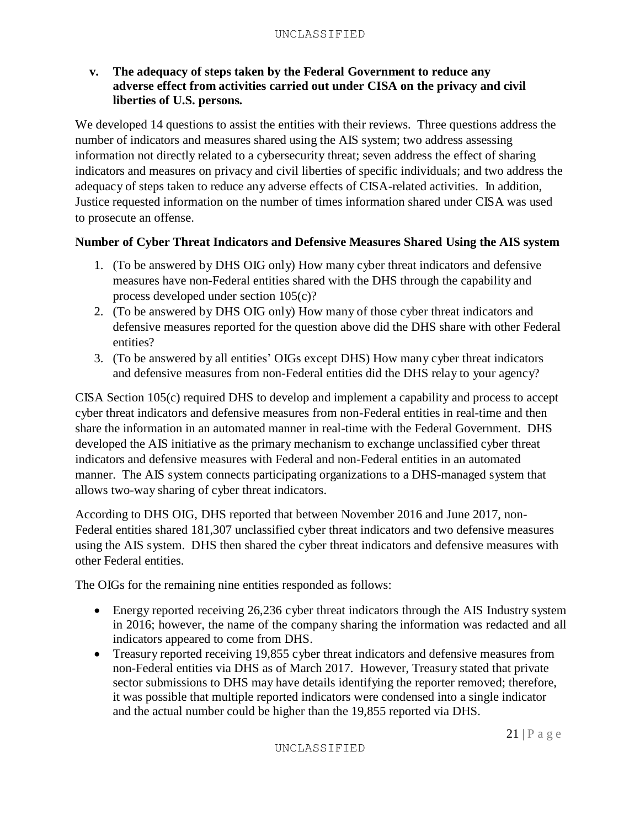#### **v. The adequacy of steps taken by the Federal Government to reduce any adverse effect from activities carried out under CISA on the privacy and civil liberties of U.S. persons.**

We developed 14 questions to assist the entities with their reviews. Three questions address the number of indicators and measures shared using the AIS system; two address assessing information not directly related to a cybersecurity threat; seven address the effect of sharing indicators and measures on privacy and civil liberties of specific individuals; and two address the adequacy of steps taken to reduce any adverse effects of CISA-related activities. In addition, Justice requested information on the number of times information shared under CISA was used to prosecute an offense.

### **Number of Cyber Threat Indicators and Defensive Measures Shared Using the AIS system**

- 1. (To be answered by DHS OIG only) How many cyber threat indicators and defensive measures have non-Federal entities shared with the DHS through the capability and process developed under section 105(c)?
- 2. (To be answered by DHS OIG only) How many of those cyber threat indicators and defensive measures reported for the question above did the DHS share with other Federal entities?
- 3. (To be answered by all entities' OIGs except DHS) How many cyber threat indicators and defensive measures from non-Federal entities did the DHS relay to your agency?

CISA Section 105(c) required DHS to develop and implement a capability and process to accept cyber threat indicators and defensive measures from non-Federal entities in real-time and then share the information in an automated manner in real-time with the Federal Government. DHS developed the AIS initiative as the primary mechanism to exchange unclassified cyber threat indicators and defensive measures with Federal and non-Federal entities in an automated manner. The AIS system connects participating organizations to a DHS-managed system that allows two-way sharing of cyber threat indicators.

According to DHS OIG, DHS reported that between November 2016 and June 2017, non-Federal entities shared 181,307 unclassified cyber threat indicators and two defensive measures using the AIS system. DHS then shared the cyber threat indicators and defensive measures with other Federal entities.

The OIGs for the remaining nine entities responded as follows:

- Energy reported receiving 26,236 cyber threat indicators through the AIS Industry system in 2016; however, the name of the company sharing the information was redacted and all indicators appeared to come from DHS.
- Treasury reported receiving 19,855 cyber threat indicators and defensive measures from non-Federal entities via DHS as of March 2017. However, Treasury stated that private sector submissions to DHS may have details identifying the reporter removed; therefore, it was possible that multiple reported indicators were condensed into a single indicator and the actual number could be higher than the 19,855 reported via DHS.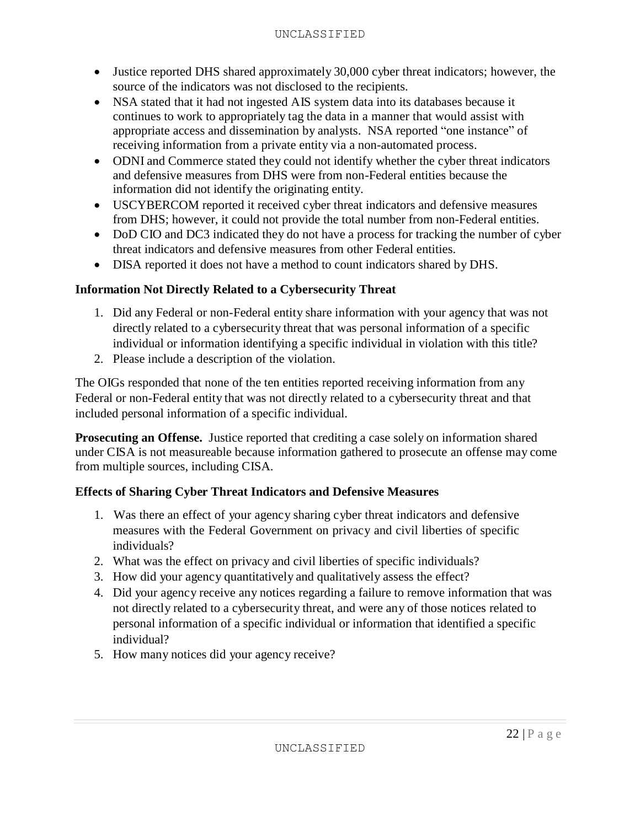- Justice reported DHS shared approximately 30,000 cyber threat indicators; however, the source of the indicators was not disclosed to the recipients.
- NSA stated that it had not ingested AIS system data into its databases because it continues to work to appropriately tag the data in a manner that would assist with appropriate access and dissemination by analysts. NSA reported "one instance" of receiving information from a private entity via a non-automated process.
- ODNI and Commerce stated they could not identify whether the cyber threat indicators and defensive measures from DHS were from non-Federal entities because the information did not identify the originating entity.
- USCYBERCOM reported it received cyber threat indicators and defensive measures from DHS; however, it could not provide the total number from non-Federal entities.
- DoD CIO and DC3 indicated they do not have a process for tracking the number of cyber threat indicators and defensive measures from other Federal entities.
- DISA reported it does not have a method to count indicators shared by DHS.

## **Information Not Directly Related to a Cybersecurity Threat**

- 1. Did any Federal or non-Federal entity share information with your agency that was not directly related to a cybersecurity threat that was personal information of a specific individual or information identifying a specific individual in violation with this title?
- 2. Please include a description of the violation.

The OIGs responded that none of the ten entities reported receiving information from any Federal or non-Federal entity that was not directly related to a cybersecurity threat and that included personal information of a specific individual.

**Prosecuting an Offense.** Justice reported that crediting a case solely on information shared under CISA is not measureable because information gathered to prosecute an offense may come from multiple sources, including CISA.

## **Effects of Sharing Cyber Threat Indicators and Defensive Measures**

- 1. Was there an effect of your agency sharing cyber threat indicators and defensive measures with the Federal Government on privacy and civil liberties of specific individuals?
- 2. What was the effect on privacy and civil liberties of specific individuals?
- 3. How did your agency quantitatively and qualitatively assess the effect?
- 4. Did your agency receive any notices regarding a failure to remove information that was not directly related to a cybersecurity threat, and were any of those notices related to personal information of a specific individual or information that identified a specific individual?
- 5. How many notices did your agency receive?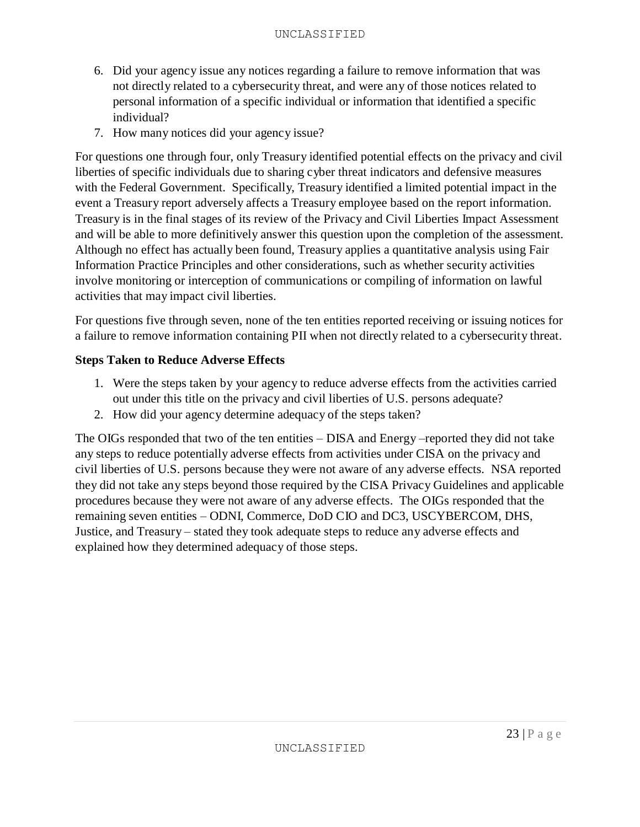- 6. Did your agency issue any notices regarding a failure to remove information that was not directly related to a cybersecurity threat, and were any of those notices related to personal information of a specific individual or information that identified a specific individual?
- 7. How many notices did your agency issue?

For questions one through four, only Treasury identified potential effects on the privacy and civil liberties of specific individuals due to sharing cyber threat indicators and defensive measures with the Federal Government. Specifically, Treasury identified a limited potential impact in the event a Treasury report adversely affects a Treasury employee based on the report information. Treasury is in the final stages of its review of the Privacy and Civil Liberties Impact Assessment and will be able to more definitively answer this question upon the completion of the assessment. Although no effect has actually been found, Treasury applies a quantitative analysis using Fair Information Practice Principles and other considerations, such as whether security activities involve monitoring or interception of communications or compiling of information on lawful activities that may impact civil liberties.

For questions five through seven, none of the ten entities reported receiving or issuing notices for a failure to remove information containing PII when not directly related to a cybersecurity threat.

#### **Steps Taken to Reduce Adverse Effects**

- 1. Were the steps taken by your agency to reduce adverse effects from the activities carried out under this title on the privacy and civil liberties of U.S. persons adequate?
- 2. How did your agency determine adequacy of the steps taken?

The OIGs responded that two of the ten entities – DISA and Energy –reported they did not take any steps to reduce potentially adverse effects from activities under CISA on the privacy and civil liberties of U.S. persons because they were not aware of any adverse effects. NSA reported they did not take any steps beyond those required by the CISA Privacy Guidelines and applicable procedures because they were not aware of any adverse effects. The OIGs responded that the remaining seven entities – ODNI, Commerce, DoD CIO and DC3, USCYBERCOM, DHS, Justice, and Treasury – stated they took adequate steps to reduce any adverse effects and explained how they determined adequacy of those steps.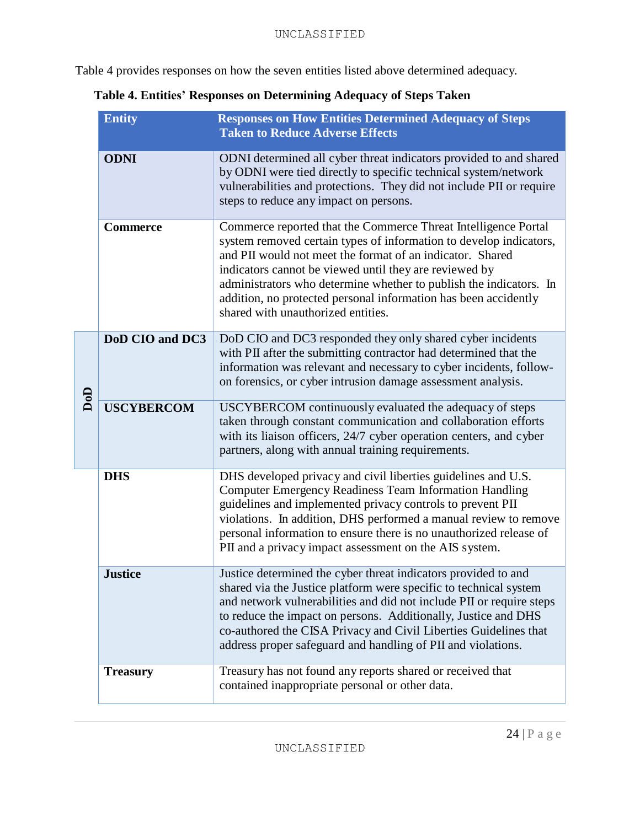Table 4 provides responses on how the seven entities listed above determined adequacy.

| Table 4. Entities' Responses on Determining Adequacy of Steps Taken |  |  |  |  |
|---------------------------------------------------------------------|--|--|--|--|
|---------------------------------------------------------------------|--|--|--|--|

|     | <b>Entity</b>     | <b>Responses on How Entities Determined Adequacy of Steps</b><br><b>Taken to Reduce Adverse Effects</b>                                                                                                                                                                                                                                                                                                                                    |
|-----|-------------------|--------------------------------------------------------------------------------------------------------------------------------------------------------------------------------------------------------------------------------------------------------------------------------------------------------------------------------------------------------------------------------------------------------------------------------------------|
|     | <b>ODNI</b>       | ODNI determined all cyber threat indicators provided to and shared<br>by ODNI were tied directly to specific technical system/network<br>vulnerabilities and protections. They did not include PII or require<br>steps to reduce any impact on persons.                                                                                                                                                                                    |
|     | <b>Commerce</b>   | Commerce reported that the Commerce Threat Intelligence Portal<br>system removed certain types of information to develop indicators,<br>and PII would not meet the format of an indicator. Shared<br>indicators cannot be viewed until they are reviewed by<br>administrators who determine whether to publish the indicators. In<br>addition, no protected personal information has been accidently<br>shared with unauthorized entities. |
|     | DoD CIO and DC3   | DoD CIO and DC3 responded they only shared cyber incidents<br>with PII after the submitting contractor had determined that the<br>information was relevant and necessary to cyber incidents, follow-<br>on forensics, or cyber intrusion damage assessment analysis.                                                                                                                                                                       |
| DoD | <b>USCYBERCOM</b> | USCYBERCOM continuously evaluated the adequacy of steps<br>taken through constant communication and collaboration efforts<br>with its liaison officers, 24/7 cyber operation centers, and cyber<br>partners, along with annual training requirements.                                                                                                                                                                                      |
|     | <b>DHS</b>        | DHS developed privacy and civil liberties guidelines and U.S.<br><b>Computer Emergency Readiness Team Information Handling</b><br>guidelines and implemented privacy controls to prevent PII<br>violations. In addition, DHS performed a manual review to remove<br>personal information to ensure there is no unauthorized release of<br>PII and a privacy impact assessment on the AIS system.                                           |
|     | <b>Justice</b>    | Justice determined the cyber threat indicators provided to and<br>shared via the Justice platform were specific to technical system<br>and network vulnerabilities and did not include PII or require steps<br>to reduce the impact on persons. Additionally, Justice and DHS<br>co-authored the CISA Privacy and Civil Liberties Guidelines that<br>address proper safeguard and handling of PII and violations.                          |
|     | <b>Treasury</b>   | Treasury has not found any reports shared or received that<br>contained inappropriate personal or other data.                                                                                                                                                                                                                                                                                                                              |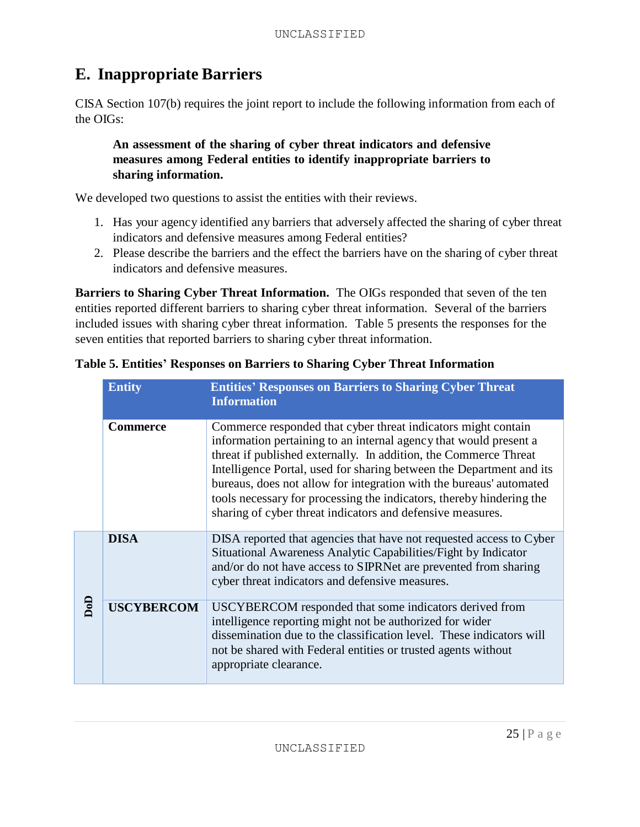# **E. Inappropriate Barriers**

CISA Section 107(b) requires the joint report to include the following information from each of the OIGs:

## **An assessment of the sharing of cyber threat indicators and defensive measures among Federal entities to identify inappropriate barriers to sharing information.**

We developed two questions to assist the entities with their reviews.

- 1. Has your agency identified any barriers that adversely affected the sharing of cyber threat indicators and defensive measures among Federal entities?
- 2. Please describe the barriers and the effect the barriers have on the sharing of cyber threat indicators and defensive measures.

**Barriers to Sharing Cyber Threat Information.** The OIGs responded that seven of the ten entities reported different barriers to sharing cyber threat information. Several of the barriers included issues with sharing cyber threat information. Table 5 presents the responses for the seven entities that reported barriers to sharing cyber threat information.

|                | <b>Entity</b>     | <b>Entities' Responses on Barriers to Sharing Cyber Threat</b><br><b>Information</b>                                                                                                                                                                                                                                                                                                                                                                                                        |
|----------------|-------------------|---------------------------------------------------------------------------------------------------------------------------------------------------------------------------------------------------------------------------------------------------------------------------------------------------------------------------------------------------------------------------------------------------------------------------------------------------------------------------------------------|
|                | <b>Commerce</b>   | Commerce responded that cyber threat indicators might contain<br>information pertaining to an internal agency that would present a<br>threat if published externally. In addition, the Commerce Threat<br>Intelligence Portal, used for sharing between the Department and its<br>bureaus, does not allow for integration with the bureaus' automated<br>tools necessary for processing the indicators, thereby hindering the<br>sharing of cyber threat indicators and defensive measures. |
|                | <b>DISA</b>       | DISA reported that agencies that have not requested access to Cyber<br>Situational Awareness Analytic Capabilities/Fight by Indicator<br>and/or do not have access to SIPRNet are prevented from sharing<br>cyber threat indicators and defensive measures.                                                                                                                                                                                                                                 |
| $\overline{a}$ | <b>USCYBERCOM</b> | USCYBERCOM responded that some indicators derived from<br>intelligence reporting might not be authorized for wider<br>dissemination due to the classification level. These indicators will<br>not be shared with Federal entities or trusted agents without<br>appropriate clearance.                                                                                                                                                                                                       |

**Table 5. Entities' Responses on Barriers to Sharing Cyber Threat Information**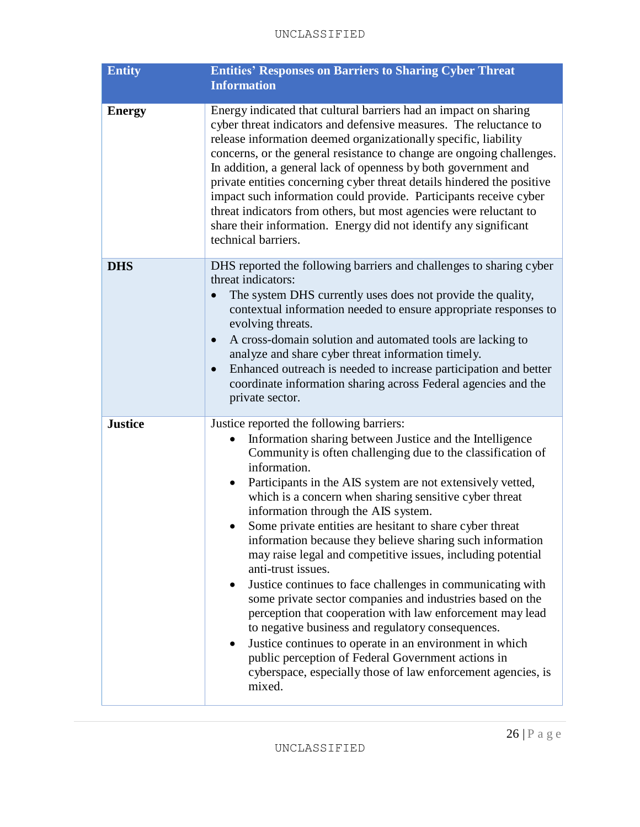| <b>Entity</b>  | <b>Entities' Responses on Barriers to Sharing Cyber Threat</b><br><b>Information</b>                                                                                                                                                                                                                                                                                                                                                                                                                                                                                                                                                                                                                                                                                                                                                                                                                                                                                                                                  |
|----------------|-----------------------------------------------------------------------------------------------------------------------------------------------------------------------------------------------------------------------------------------------------------------------------------------------------------------------------------------------------------------------------------------------------------------------------------------------------------------------------------------------------------------------------------------------------------------------------------------------------------------------------------------------------------------------------------------------------------------------------------------------------------------------------------------------------------------------------------------------------------------------------------------------------------------------------------------------------------------------------------------------------------------------|
| <b>Energy</b>  | Energy indicated that cultural barriers had an impact on sharing<br>cyber threat indicators and defensive measures. The reluctance to<br>release information deemed organizationally specific, liability<br>concerns, or the general resistance to change are ongoing challenges.<br>In addition, a general lack of openness by both government and<br>private entities concerning cyber threat details hindered the positive<br>impact such information could provide. Participants receive cyber<br>threat indicators from others, but most agencies were reluctant to<br>share their information. Energy did not identify any significant<br>technical barriers.                                                                                                                                                                                                                                                                                                                                                   |
| <b>DHS</b>     | DHS reported the following barriers and challenges to sharing cyber<br>threat indicators:<br>The system DHS currently uses does not provide the quality,<br>contextual information needed to ensure appropriate responses to<br>evolving threats.<br>A cross-domain solution and automated tools are lacking to<br>analyze and share cyber threat information timely.<br>Enhanced outreach is needed to increase participation and better<br>$\bullet$<br>coordinate information sharing across Federal agencies and the<br>private sector.                                                                                                                                                                                                                                                                                                                                                                                                                                                                           |
| <b>Justice</b> | Justice reported the following barriers:<br>Information sharing between Justice and the Intelligence<br>Community is often challenging due to the classification of<br>information.<br>Participants in the AIS system are not extensively vetted,<br>which is a concern when sharing sensitive cyber threat<br>information through the AIS system.<br>Some private entities are hesitant to share cyber threat<br>information because they believe sharing such information<br>may raise legal and competitive issues, including potential<br>anti-trust issues.<br>Justice continues to face challenges in communicating with<br>$\bullet$<br>some private sector companies and industries based on the<br>perception that cooperation with law enforcement may lead<br>to negative business and regulatory consequences.<br>Justice continues to operate in an environment in which<br>public perception of Federal Government actions in<br>cyberspace, especially those of law enforcement agencies, is<br>mixed. |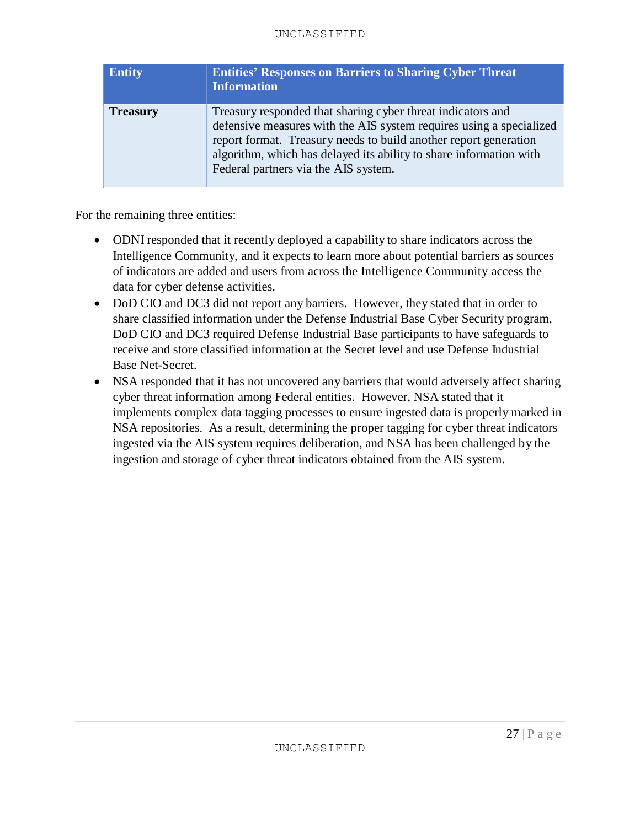#### UNCLASSIFIED

| <b>Entity</b>   | <b>Entities' Responses on Barriers to Sharing Cyber Threat</b><br><b>Information</b>                                                                                                                                                                                                                                 |
|-----------------|----------------------------------------------------------------------------------------------------------------------------------------------------------------------------------------------------------------------------------------------------------------------------------------------------------------------|
| <b>Treasury</b> | Treasury responded that sharing cyber threat indicators and<br>defensive measures with the AIS system requires using a specialized<br>report format. Treasury needs to build another report generation<br>algorithm, which has delayed its ability to share information with<br>Federal partners via the AIS system. |

For the remaining three entities:

- ODNI responded that it recently deployed a capability to share indicators across the Intelligence Community, and it expects to learn more about potential barriers as sources of indicators are added and users from across the Intelligence Community access the data for cyber defense activities.
- DoD CIO and DC3 did not report any barriers. However, they stated that in order to share classified information under the Defense Industrial Base Cyber Security program, DoD CIO and DC3 required Defense Industrial Base participants to have safeguards to receive and store classified information at the Secret level and use Defense Industrial Base Net-Secret.
- NSA responded that it has not uncovered any barriers that would adversely affect sharing cyber threat information among Federal entities. However, NSA stated that it implements complex data tagging processes to ensure ingested data is properly marked in NSA repositories. As a result, determining the proper tagging for cyber threat indicators ingested via the AIS system requires deliberation, and NSA has been challenged by the ingestion and storage of cyber threat indicators obtained from the AIS system.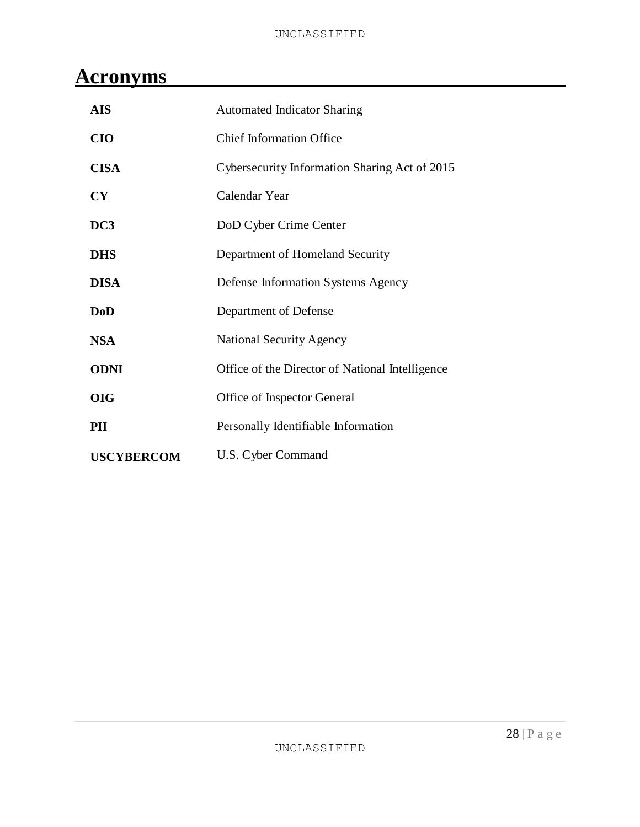# **Acronyms**

| <b>AIS</b>        | <b>Automated Indicator Sharing</b>              |
|-------------------|-------------------------------------------------|
| <b>CIO</b>        | <b>Chief Information Office</b>                 |
| <b>CISA</b>       | Cybersecurity Information Sharing Act of 2015   |
| CY                | Calendar Year                                   |
| DC3               | DoD Cyber Crime Center                          |
| <b>DHS</b>        | Department of Homeland Security                 |
| <b>DISA</b>       | Defense Information Systems Agency              |
| <b>DoD</b>        | Department of Defense                           |
| <b>NSA</b>        | <b>National Security Agency</b>                 |
| <b>ODNI</b>       | Office of the Director of National Intelligence |
| <b>OIG</b>        | Office of Inspector General                     |
| PII               | Personally Identifiable Information             |
| <b>USCYBERCOM</b> | U.S. Cyber Command                              |